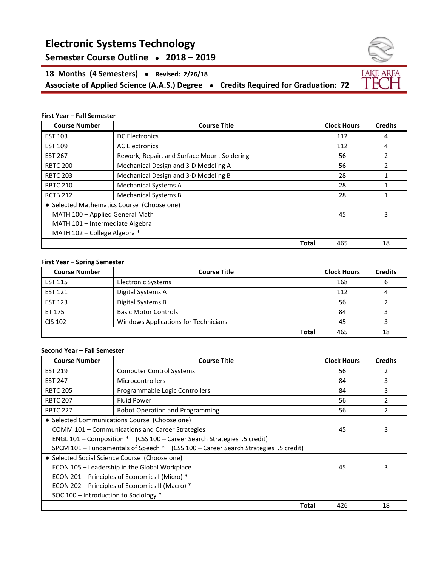# **Electronic Systems Technology**

## **Semester Course Outline ● 2018 – 2019**

**18 Months (4 Semesters) ● Revised: 2/26/18 Associate of Applied Science (A.A.S.) Degree ● Credits Required for Graduation: 72**

#### **First Year – Fall Semester**

| <b>Course Number</b>                       | <b>Course Title</b>                         | <b>Clock Hours</b> | <b>Credits</b> |
|--------------------------------------------|---------------------------------------------|--------------------|----------------|
| <b>EST 103</b>                             | <b>DC Electronics</b>                       | 112                | 4              |
| <b>EST 109</b>                             | <b>AC Electronics</b>                       | 112                | 4              |
| <b>EST 267</b>                             | Rework, Repair, and Surface Mount Soldering | 56                 | 2              |
| <b>RBTC 200</b>                            | Mechanical Design and 3-D Modeling A        | 56                 | $\mathcal{P}$  |
| <b>RBTC 203</b>                            | Mechanical Design and 3-D Modeling B        | 28                 |                |
| <b>RBTC 210</b>                            | <b>Mechanical Systems A</b>                 | 28                 | 1              |
| <b>RCTB 212</b>                            | <b>Mechanical Systems B</b>                 | 28                 |                |
| • Selected Mathematics Course (Choose one) |                                             |                    |                |
| MATH 100 - Applied General Math            |                                             | 45                 | 3              |
| MATH 101 - Intermediate Algebra            |                                             |                    |                |
| MATH 102 - College Algebra *               |                                             |                    |                |
|                                            | <b>Total</b>                                | 465                | 18             |

#### **First Year – Spring Semester**

| <b>Course Number</b> | <b>Course Title</b>                  | <b>Clock Hours</b> | <b>Credits</b> |
|----------------------|--------------------------------------|--------------------|----------------|
| <b>EST 115</b>       | Electronic Systems                   | 168                | ь              |
| <b>EST 121</b>       | Digital Systems A                    | 112                |                |
| <b>EST 123</b>       | Digital Systems B                    | 56                 |                |
| ET 175               | <b>Basic Motor Controls</b>          | 84                 |                |
| <b>CIS 102</b>       | Windows Applications for Technicians | 45                 |                |
|                      | <b>Total</b>                         | 465                | 18             |

#### **Second Year – Fall Semester**

| <b>Course Number</b>                                                               | <b>Course Title</b>                                                     | <b>Clock Hours</b> | <b>Credits</b> |
|------------------------------------------------------------------------------------|-------------------------------------------------------------------------|--------------------|----------------|
| <b>EST 219</b>                                                                     | <b>Computer Control Systems</b>                                         | 56                 | 2              |
| <b>EST 247</b>                                                                     | <b>Microcontrollers</b>                                                 | 84                 | 3              |
| <b>RBTC 205</b>                                                                    | Programmable Logic Controllers                                          | 84                 | 3              |
| <b>RBTC 207</b>                                                                    | <b>Fluid Power</b>                                                      | 56                 | 2              |
| <b>RBTC 227</b>                                                                    | <b>Robot Operation and Programming</b>                                  | 56                 | 2              |
| • Selected Communications Course (Choose one)                                      |                                                                         |                    |                |
| COMM 101 - Communications and Career Strategies                                    |                                                                         | 45                 | 3              |
|                                                                                    | ENGL 101 – Composition * (CSS 100 – Career Search Strategies .5 credit) |                    |                |
| SPCM 101 - Fundamentals of Speech * (CSS 100 - Career Search Strategies .5 credit) |                                                                         |                    |                |
| • Selected Social Science Course (Choose one)                                      |                                                                         |                    |                |
| ECON 105 - Leadership in the Global Workplace                                      |                                                                         | 45                 | 3              |
| ECON 201 - Principles of Economics I (Micro) *                                     |                                                                         |                    |                |
| ECON 202 - Principles of Economics II (Macro) *                                    |                                                                         |                    |                |
| SOC 100 - Introduction to Sociology *                                              |                                                                         |                    |                |
|                                                                                    | <b>Total</b>                                                            | 426                | 18             |